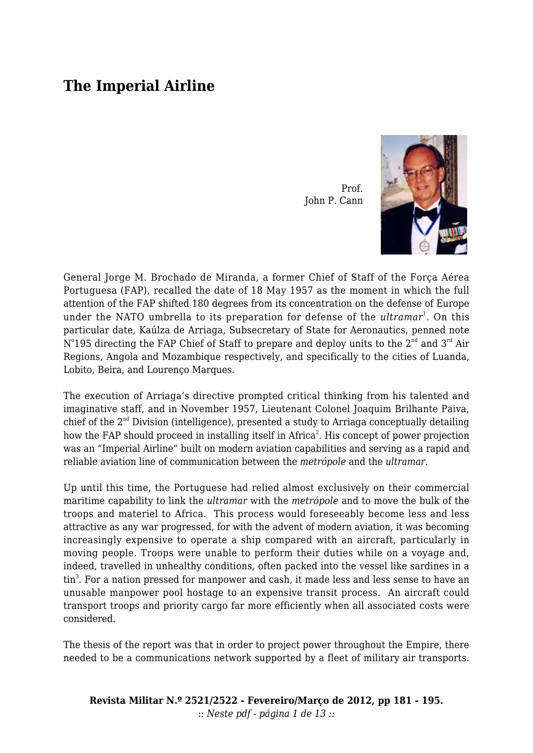## **The Imperial Airline**

Prof. John P. Cann



General Jorge M. Brochado de Miranda, a former Chief of Staff of the Força Aérea Portuguesa (FAP), recalled the date of 18 May 1957 as the moment in which the full attention of the FAP shifted 180 degrees from its concentration on the defense of Europe under the NATO umbrella to its preparation for defense of the *ultramar*<sup>1</sup>. On this particular date, Kaúlza de Arriaga, Subsecretary of State for Aeronautics, penned note  $N^{\circ}$ 195 directing the FAP Chief of Staff to prepare and deploy units to the 2<sup>nd</sup> and 3<sup>rd</sup> Air Regions, Angola and Mozambique respectively, and specifically to the cities of Luanda, Lobito, Beira, and Lourenço Marques.

The execution of Arriaga's directive prompted critical thinking from his talented and imaginative staff, and in November 1957, Lieutenant Colonel Joaquim Brilhante Paiva, chief of the  $2<sup>nd</sup>$  Division (intelligence), presented a study to Arriaga conceptually detailing how the FAP should proceed in installing itself in Africa<sup>2</sup>. His concept of power projection was an "Imperial Airline" built on modern aviation capabilities and serving as a rapid and reliable aviation line of communication between the *metrópole* and the *ultramar.*

Up until this time, the Portuguese had relied almost exclusively on their commercial maritime capability to link the *ultramar* with the *metrópole* and to move the bulk of the troops and materiel to Africa. This process would foreseeably become less and less attractive as any war progressed, for with the advent of modern aviation, it was becoming increasingly expensive to operate a ship compared with an aircraft, particularly in moving people. Troops were unable to perform their duties while on a voyage and, indeed, travelled in unhealthy conditions, often packed into the vessel like sardines in a tin<sup>3</sup>. For a nation pressed for manpower and cash, it made less and less sense to have an unusable manpower pool hostage to an expensive transit process. An aircraft could transport troops and priority cargo far more efficiently when all associated costs were considered.

The thesis of the report was that in order to project power throughout the Empire, there needed to be a communications network supported by a fleet of military air transports.

**Revista Militar N.º 2521/2522 - Fevereiro/Março de 2012, pp 181 - 195.** :: *Neste pdf - página 1 de 13 ::*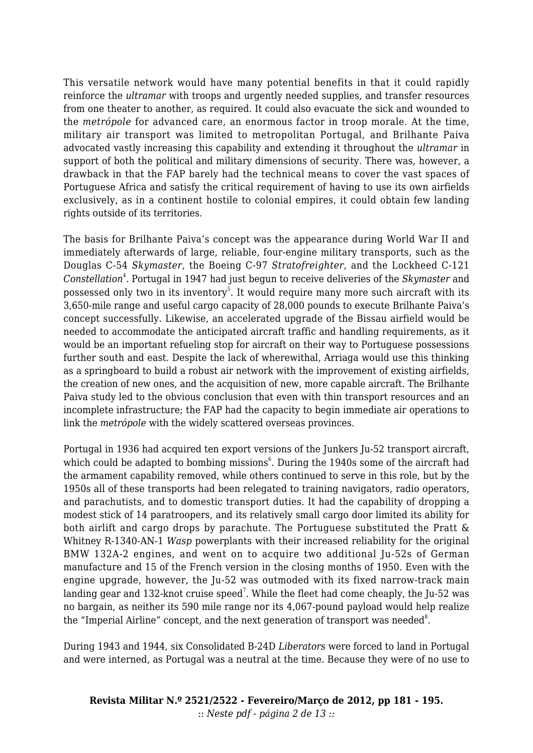This versatile network would have many potential benefits in that it could rapidly reinforce the *ultramar* with troops and urgently needed supplies, and transfer resources from one theater to another, as required. It could also evacuate the sick and wounded to the *metrópole* for advanced care, an enormous factor in troop morale. At the time, military air transport was limited to metropolitan Portugal, and Brilhante Paiva advocated vastly increasing this capability and extending it throughout the *ultramar* in support of both the political and military dimensions of security. There was, however, a drawback in that the FAP barely had the technical means to cover the vast spaces of Portuguese Africa and satisfy the critical requirement of having to use its own airfields exclusively, as in a continent hostile to colonial empires, it could obtain few landing rights outside of its territories.

The basis for Brilhante Paiva's concept was the appearance during World War II and immediately afterwards of large, reliable, four-engine military transports, such as the Douglas C-54 *Skymaster*, the Boeing C-97 *Stratofreighter*, and the Lockheed C-121 *Constellation*<sup>4</sup> *.* Portugal in 1947 had just begun to receive deliveries of the *Skymaster* and possessed only two in its inventory<sup>5</sup>. It would require many more such aircraft with its 3,650-mile range and useful cargo capacity of 28,000 pounds to execute Brilhante Paiva's concept successfully. Likewise, an accelerated upgrade of the Bissau airfield would be needed to accommodate the anticipated aircraft traffic and handling requirements, as it would be an important refueling stop for aircraft on their way to Portuguese possessions further south and east. Despite the lack of wherewithal, Arriaga would use this thinking as a springboard to build a robust air network with the improvement of existing airfields, the creation of new ones, and the acquisition of new, more capable aircraft. The Brilhante Paiva study led to the obvious conclusion that even with thin transport resources and an incomplete infrastructure; the FAP had the capacity to begin immediate air operations to link the *metrópole* with the widely scattered overseas provinces.

Portugal in 1936 had acquired ten export versions of the Junkers Ju-52 transport aircraft, which could be adapted to bombing missions $6$ . During the 1940s some of the aircraft had the armament capability removed, while others continued to serve in this role, but by the 1950s all of these transports had been relegated to training navigators, radio operators, and parachutists, and to domestic transport duties. It had the capability of dropping a modest stick of 14 paratroopers, and its relatively small cargo door limited its ability for both airlift and cargo drops by parachute. The Portuguese substituted the Pratt & Whitney R-1340-AN-1 *Wasp* powerplants with their increased reliability for the original BMW 132A-2 engines, and went on to acquire two additional Ju-52s of German manufacture and 15 of the French version in the closing months of 1950. Even with the engine upgrade, however, the Ju-52 was outmoded with its fixed narrow-track main landing gear and 132-knot cruise speed<sup>7</sup>. While the fleet had come cheaply, the Ju-52 was no bargain, as neither its 590 mile range nor its 4,067-pound payload would help realize the "Imperial Airline" concept, and the next generation of transport was needed $8$ .

During 1943 and 1944, six Consolidated B-24D *Liberators* were forced to land in Portugal and were interned, as Portugal was a neutral at the time. Because they were of no use to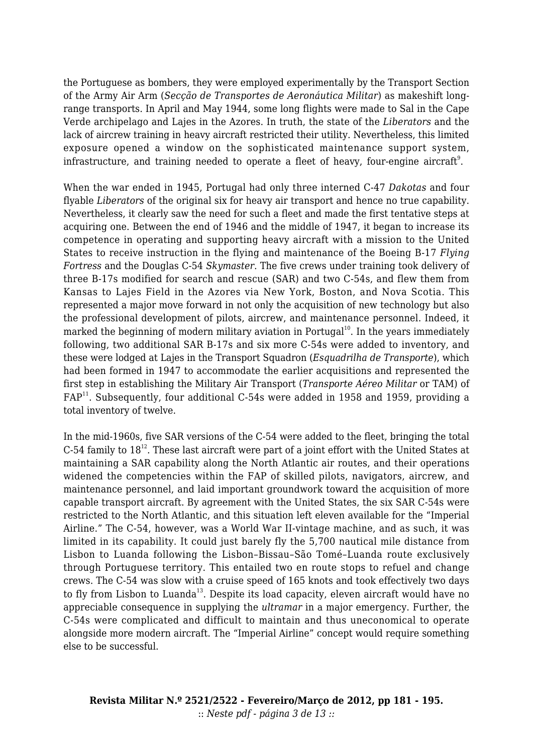the Portuguese as bombers, they were employed experimentally by the Transport Section of the Army Air Arm (*Secção de Transportes de Aeronáutica Militar*) as makeshift longrange transports. In April and May 1944, some long flights were made to Sal in the Cape Verde archipelago and Lajes in the Azores. In truth, the state of the *Liberators* and the lack of aircrew training in heavy aircraft restricted their utility. Nevertheless, this limited exposure opened a window on the sophisticated maintenance support system, infrastructure, and training needed to operate a fleet of heavy, four-engine aircraft $^{\circ}$ .

When the war ended in 1945, Portugal had only three interned C-47 *Dakotas* and four flyable *Liberators* of the original six for heavy air transport and hence no true capability. Nevertheless, it clearly saw the need for such a fleet and made the first tentative steps at acquiring one. Between the end of 1946 and the middle of 1947, it began to increase its competence in operating and supporting heavy aircraft with a mission to the United States to receive instruction in the flying and maintenance of the Boeing B-17 *Flying Fortress* and the Douglas C-54 *Skymaster*. The five crews under training took delivery of three B-17s modified for search and rescue (SAR) and two C-54s, and flew them from Kansas to Lajes Field in the Azores via New York, Boston, and Nova Scotia. This represented a major move forward in not only the acquisition of new technology but also the professional development of pilots, aircrew, and maintenance personnel. Indeed, it marked the beginning of modern military aviation in Portugal<sup>10</sup>. In the years immediately following, two additional SAR B-17s and six more C-54s were added to inventory, and these were lodged at Lajes in the Transport Squadron (*Esquadrilha de Transporte*), which had been formed in 1947 to accommodate the earlier acquisitions and represented the first step in establishing the Military Air Transport (*Transporte Aéreo Militar* or TAM) of  $FAP<sup>11</sup>$ . Subsequently, four additional C-54s were added in 1958 and 1959, providing a total inventory of twelve.

In the mid-1960s, five SAR versions of the C-54 were added to the fleet, bringing the total C-54 family to  $18^{12}$ . These last aircraft were part of a joint effort with the United States at maintaining a SAR capability along the North Atlantic air routes, and their operations widened the competencies within the FAP of skilled pilots, navigators, aircrew, and maintenance personnel, and laid important groundwork toward the acquisition of more capable transport aircraft. By agreement with the United States, the six SAR C-54s were restricted to the North Atlantic, and this situation left eleven available for the "Imperial Airline." The C-54, however, was a World War II-vintage machine, and as such, it was limited in its capability. It could just barely fly the 5,700 nautical mile distance from Lisbon to Luanda following the Lisbon–Bissau–São Tomé–Luanda route exclusively through Portuguese territory. This entailed two en route stops to refuel and change crews. The C-54 was slow with a cruise speed of 165 knots and took effectively two days to fly from Lisbon to Luanda<sup>13</sup>. Despite its load capacity, eleven aircraft would have no appreciable consequence in supplying the *ultramar* in a major emergency. Further, the C-54s were complicated and difficult to maintain and thus uneconomical to operate alongside more modern aircraft. The "Imperial Airline" concept would require something else to be successful.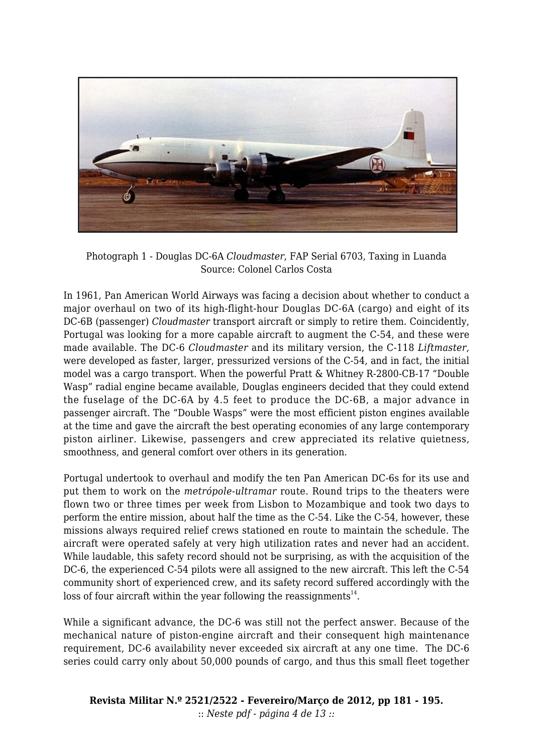

Photograph 1 - Douglas DC-6A *Cloudmaster*, FAP Serial 6703, Taxing in Luanda Source: Colonel Carlos Costa

In 1961, Pan American World Airways was facing a decision about whether to conduct a major overhaul on two of its high-flight-hour Douglas DC-6A (cargo) and eight of its DC-6B (passenger) *Cloudmaster* transport aircraft or simply to retire them. Coincidently, Portugal was looking for a more capable aircraft to augment the C-54, and these were made available. The DC-6 *Cloudmaster* and its military version, the C-118 *Liftmaster*, were developed as faster, larger, pressurized versions of the C-54, and in fact, the initial model was a cargo transport. When the powerful Pratt & Whitney R-2800-CB-17 "Double Wasp" radial engine became available, Douglas engineers decided that they could extend the fuselage of the DC-6A by 4.5 feet to produce the DC-6B, a major advance in passenger aircraft. The "Double Wasps" were the most efficient piston engines available at the time and gave the aircraft the best operating economies of any large contemporary piston airliner. Likewise, passengers and crew appreciated its relative quietness, smoothness, and general comfort over others in its generation.

Portugal undertook to overhaul and modify the ten Pan American DC-6s for its use and put them to work on the *metrópole-ultramar* route. Round trips to the theaters were flown two or three times per week from Lisbon to Mozambique and took two days to perform the entire mission, about half the time as the C-54. Like the C-54, however, these missions always required relief crews stationed en route to maintain the schedule. The aircraft were operated safely at very high utilization rates and never had an accident. While laudable, this safety record should not be surprising, as with the acquisition of the DC-6, the experienced C-54 pilots were all assigned to the new aircraft. This left the C-54 community short of experienced crew, and its safety record suffered accordingly with the loss of four aircraft within the year following the reassignments $^{14}$ .

While a significant advance, the DC-6 was still not the perfect answer. Because of the mechanical nature of piston-engine aircraft and their consequent high maintenance requirement, DC-6 availability never exceeded six aircraft at any one time. The DC-6 series could carry only about 50,000 pounds of cargo, and thus this small fleet together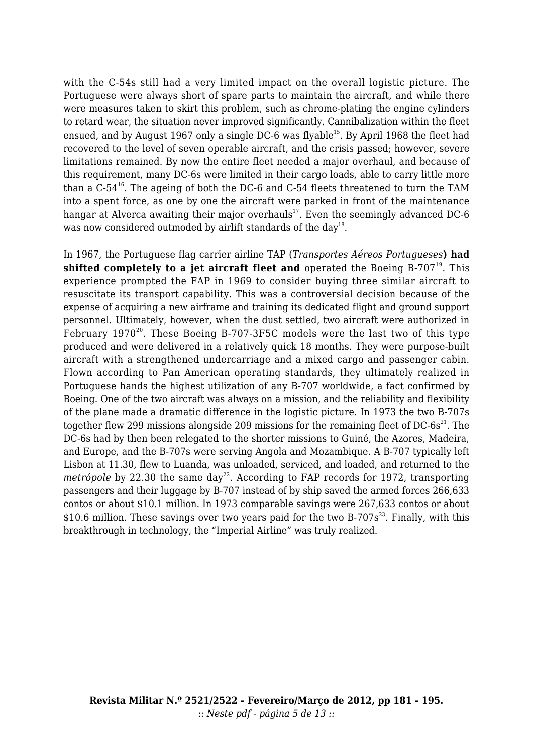with the C-54s still had a very limited impact on the overall logistic picture. The Portuguese were always short of spare parts to maintain the aircraft, and while there were measures taken to skirt this problem, such as chrome-plating the engine cylinders to retard wear, the situation never improved significantly. Cannibalization within the fleet ensued, and by August 1967 only a single DC-6 was flyable<sup>15</sup>. By April 1968 the fleet had recovered to the level of seven operable aircraft, and the crisis passed; however, severe limitations remained. By now the entire fleet needed a major overhaul, and because of this requirement, many DC-6s were limited in their cargo loads, able to carry little more than a  $C-54^{16}$ . The ageing of both the DC-6 and  $C-54$  fleets threatened to turn the TAM into a spent force, as one by one the aircraft were parked in front of the maintenance hangar at Alverca awaiting their major overhauls<sup>17</sup>. Even the seemingly advanced DC-6 was now considered outmoded by airlift standards of the day $^{18}$ .

In 1967, the Portuguese flag carrier airline TAP (*Transportes Aéreos Portugueses***) had shifted completely to a jet aircraft fleet and** operated the Boeing B-707<sup>19</sup>. This experience prompted the FAP in 1969 to consider buying three similar aircraft to resuscitate its transport capability. This was a controversial decision because of the expense of acquiring a new airframe and training its dedicated flight and ground support personnel. Ultimately, however, when the dust settled, two aircraft were authorized in February  $1970^{20}$ . These Boeing B-707-3F5C models were the last two of this type produced and were delivered in a relatively quick 18 months. They were purpose-built aircraft with a strengthened undercarriage and a mixed cargo and passenger cabin. Flown according to Pan American operating standards, they ultimately realized in Portuguese hands the highest utilization of any B-707 worldwide, a fact confirmed by Boeing. One of the two aircraft was always on a mission, and the reliability and flexibility of the plane made a dramatic difference in the logistic picture. In 1973 the two B-707s together flew 299 missions alongside 209 missions for the remaining fleet of  $DC-6s^{21}$ . The DC-6s had by then been relegated to the shorter missions to Guiné, the Azores, Madeira, and Europe, and the B-707s were serving Angola and Mozambique. A B-707 typically left Lisbon at 11.30, flew to Luanda, was unloaded, serviced, and loaded, and returned to the *metrópole* by 22.30 the same day<sup>22</sup>. According to FAP records for 1972, transporting passengers and their luggage by B-707 instead of by ship saved the armed forces 266,633 contos or about \$10.1 million. In 1973 comparable savings were 267,633 contos or about  $$10.6$  million. These savings over two years paid for the two B-707s<sup>23</sup>. Finally, with this breakthrough in technology, the "Imperial Airline" was truly realized.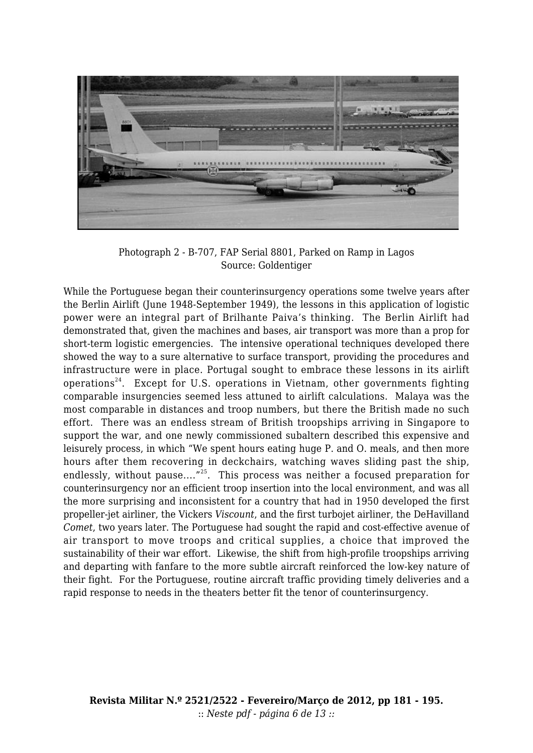

Photograph 2 - B-707, FAP Serial 8801, Parked on Ramp in Lagos Source: Goldentiger

While the Portuguese began their counterinsurgency operations some twelve years after the Berlin Airlift (June 1948-September 1949), the lessons in this application of logistic power were an integral part of Brilhante Paiva's thinking. The Berlin Airlift had demonstrated that, given the machines and bases, air transport was more than a prop for short-term logistic emergencies. The intensive operational techniques developed there showed the way to a sure alternative to surface transport, providing the procedures and infrastructure were in place. Portugal sought to embrace these lessons in its airlift operations<sup>24</sup>. Except for U.S. operations in Vietnam, other governments fighting comparable insurgencies seemed less attuned to airlift calculations. Malaya was the most comparable in distances and troop numbers, but there the British made no such effort. There was an endless stream of British troopships arriving in Singapore to support the war, and one newly commissioned subaltern described this expensive and leisurely process, in which "We spent hours eating huge P. and O. meals, and then more hours after them recovering in deckchairs, watching waves sliding past the ship, endlessly, without pause...."<sup>25</sup>. This process was neither a focused preparation for counterinsurgency nor an efficient troop insertion into the local environment, and was all the more surprising and inconsistent for a country that had in 1950 developed the first propeller-jet airliner, the Vickers *Viscount*, and the first turbojet airliner, the DeHavilland *Comet*, two years later. The Portuguese had sought the rapid and cost-effective avenue of air transport to move troops and critical supplies, a choice that improved the sustainability of their war effort. Likewise, the shift from high-profile troopships arriving and departing with fanfare to the more subtle aircraft reinforced the low-key nature of their fight. For the Portuguese, routine aircraft traffic providing timely deliveries and a rapid response to needs in the theaters better fit the tenor of counterinsurgency.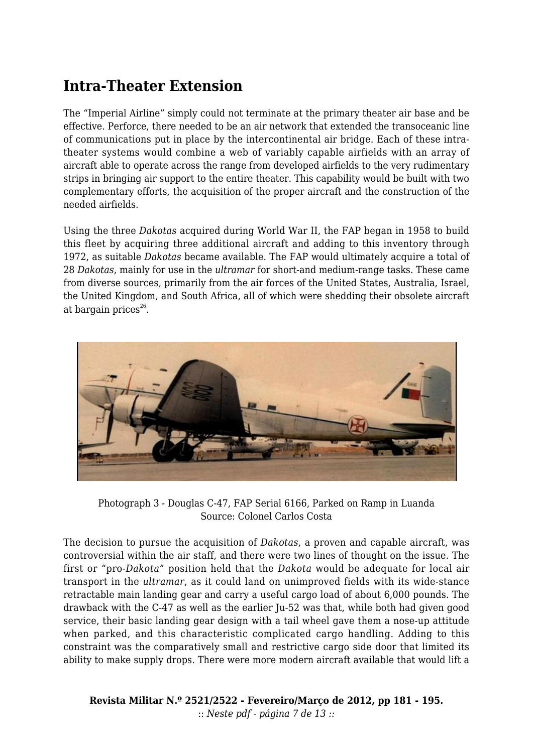## **Intra-Theater Extension**

The "Imperial Airline" simply could not terminate at the primary theater air base and be effective. Perforce, there needed to be an air network that extended the transoceanic line of communications put in place by the intercontinental air bridge. Each of these intratheater systems would combine a web of variably capable airfields with an array of aircraft able to operate across the range from developed airfields to the very rudimentary strips in bringing air support to the entire theater. This capability would be built with two complementary efforts, the acquisition of the proper aircraft and the construction of the needed airfields.

Using the three *Dakotas* acquired during World War II, the FAP began in 1958 to build this fleet by acquiring three additional aircraft and adding to this inventory through 1972, as suitable *Dakotas* became available. The FAP would ultimately acquire a total of 28 *Dakotas*, mainly for use in the *ultramar* for short-and medium-range tasks. These came from diverse sources, primarily from the air forces of the United States, Australia, Israel, the United Kingdom, and South Africa, all of which were shedding their obsolete aircraft at bargain prices $^{26}$ .



Photograph 3 - Douglas C-47, FAP Serial 6166, Parked on Ramp in Luanda Source: Colonel Carlos Costa

The decision to pursue the acquisition of *Dakotas*, a proven and capable aircraft, was controversial within the air staff, and there were two lines of thought on the issue. The first or "pro-*Dakota*" position held that the *Dakota* would be adequate for local air transport in the *ultramar*, as it could land on unimproved fields with its wide-stance retractable main landing gear and carry a useful cargo load of about 6,000 pounds. The drawback with the C-47 as well as the earlier Ju-52 was that, while both had given good service, their basic landing gear design with a tail wheel gave them a nose-up attitude when parked, and this characteristic complicated cargo handling. Adding to this constraint was the comparatively small and restrictive cargo side door that limited its ability to make supply drops. There were more modern aircraft available that would lift a

**Revista Militar N.º 2521/2522 - Fevereiro/Março de 2012, pp 181 - 195.** :: *Neste pdf - página 7 de 13 ::*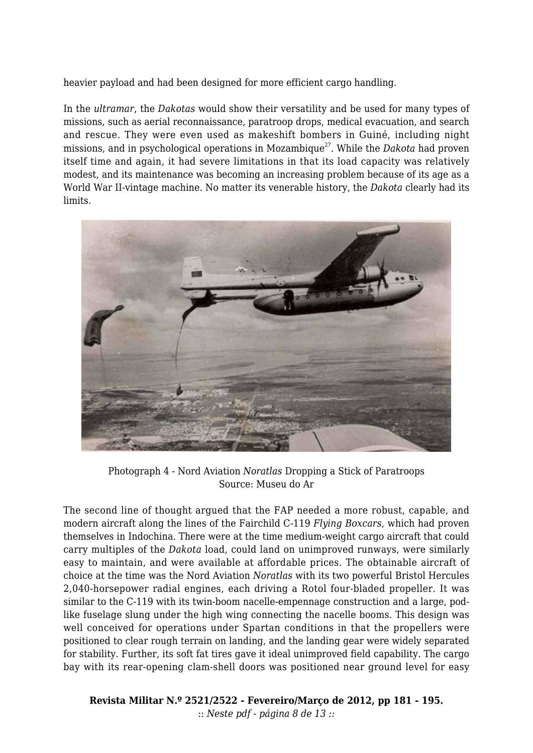heavier payload and had been designed for more efficient cargo handling.

In the *ultramar*, the *Dakotas* would show their versatility and be used for many types of missions, such as aerial reconnaissance, paratroop drops, medical evacuation, and search and rescue. They were even used as makeshift bombers in Guiné, including night missions, and in psychological operations in Mozambique<sup>27</sup>. While the *Dakota* had proven itself time and again, it had severe limitations in that its load capacity was relatively modest, and its maintenance was becoming an increasing problem because of its age as a World War II-vintage machine. No matter its venerable history, the *Dakota* clearly had its limits.



Photograph 4 - Nord Aviation *Noratlas* Dropping a Stick of Paratroops Source: Museu do Ar

The second line of thought argued that the FAP needed a more robust, capable, and modern aircraft along the lines of the Fairchild C-119 *Flying Boxcars*, which had proven themselves in Indochina. There were at the time medium-weight cargo aircraft that could carry multiples of the *Dakota* load, could land on unimproved runways, were similarly easy to maintain, and were available at affordable prices. The obtainable aircraft of choice at the time was the Nord Aviation *Noratlas* with its two powerful Bristol Hercules 2,040-horsepower radial engines, each driving a Rotol four-bladed propeller. It was similar to the C-119 with its twin-boom nacelle-empennage construction and a large, podlike fuselage slung under the high wing connecting the nacelle booms. This design was well conceived for operations under Spartan conditions in that the propellers were positioned to clear rough terrain on landing, and the landing gear were widely separated for stability. Further, its soft fat tires gave it ideal unimproved field capability. The cargo bay with its rear-opening clam-shell doors was positioned near ground level for easy

**Revista Militar N.º 2521/2522 - Fevereiro/Março de 2012, pp 181 - 195.** :: *Neste pdf - página 8 de 13 ::*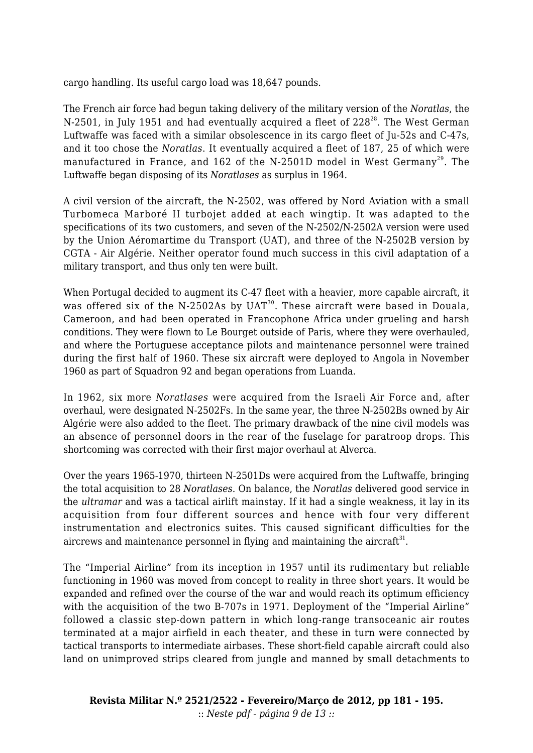cargo handling. Its useful cargo load was 18,647 pounds.

The French air force had begun taking delivery of the military version of the *Noratlas*, the N-2501, in July 1951 and had eventually acquired a fleet of  $228^{28}$ . The West German Luftwaffe was faced with a similar obsolescence in its cargo fleet of Iu-52s and C-47s. and it too chose the *Noratlas*. It eventually acquired a fleet of 187, 25 of which were manufactured in France, and 162 of the N-2501D model in West Germany<sup>29</sup>. The Luftwaffe began disposing of its *Noratlases* as surplus in 1964.

A civil version of the aircraft, the N-2502, was offered by Nord Aviation with a small Turbomeca Marboré II turbojet added at each wingtip. It was adapted to the specifications of its two customers, and seven of the N-2502/N-2502A version were used by the Union Aéromartime du Transport (UAT), and three of the N-2502B version by CGTA - Air Algérie. Neither operator found much success in this civil adaptation of a military transport, and thus only ten were built.

When Portugal decided to augment its C-47 fleet with a heavier, more capable aircraft, it was offered six of the N-2502As by  $UAT^{30}$ . These aircraft were based in Douala, Cameroon, and had been operated in Francophone Africa under grueling and harsh conditions. They were flown to Le Bourget outside of Paris, where they were overhauled, and where the Portuguese acceptance pilots and maintenance personnel were trained during the first half of 1960. These six aircraft were deployed to Angola in November 1960 as part of Squadron 92 and began operations from Luanda.

In 1962, six more *Noratlases* were acquired from the Israeli Air Force and, after overhaul, were designated N-2502Fs. In the same year, the three N-2502Bs owned by Air Algérie were also added to the fleet. The primary drawback of the nine civil models was an absence of personnel doors in the rear of the fuselage for paratroop drops. This shortcoming was corrected with their first major overhaul at Alverca.

Over the years 1965-1970, thirteen N-2501Ds were acquired from the Luftwaffe, bringing the total acquisition to 28 *Noratlases*. On balance, the *Noratlas* delivered good service in the *ultramar* and was a tactical airlift mainstay. If it had a single weakness, it lay in its acquisition from four different sources and hence with four very different instrumentation and electronics suites. This caused significant difficulties for the aircrews and maintenance personnel in flying and maintaining the aircraft $3<sup>1</sup>$ .

The "Imperial Airline" from its inception in 1957 until its rudimentary but reliable functioning in 1960 was moved from concept to reality in three short years. It would be expanded and refined over the course of the war and would reach its optimum efficiency with the acquisition of the two B-707s in 1971. Deployment of the "Imperial Airline" followed a classic step-down pattern in which long-range transoceanic air routes terminated at a major airfield in each theater, and these in turn were connected by tactical transports to intermediate airbases. These short-field capable aircraft could also land on unimproved strips cleared from jungle and manned by small detachments to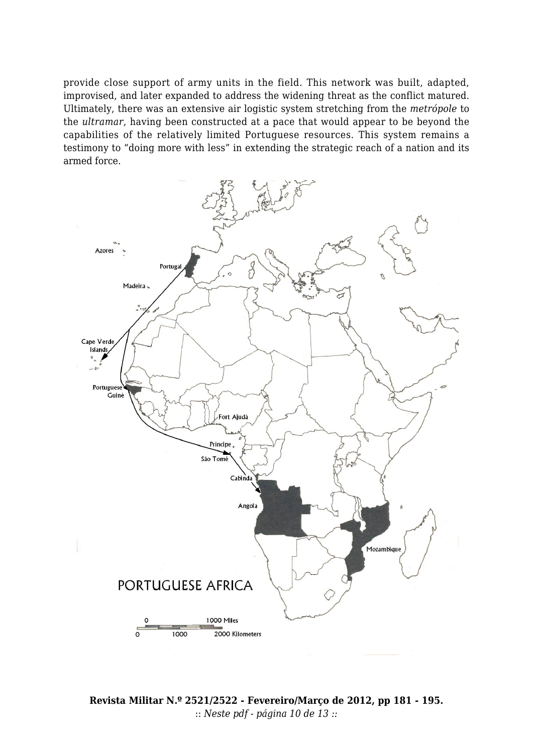provide close support of army units in the field. This network was built, adapted, improvised, and later expanded to address the widening threat as the conflict matured. Ultimately, there was an extensive air logistic system stretching from the *metrópole* to the *ultramar*, having been constructed at a pace that would appear to be beyond the capabilities of the relatively limited Portuguese resources. This system remains a testimony to "doing more with less" in extending the strategic reach of a nation and its armed force.



**Revista Militar N.º 2521/2522 - Fevereiro/Março de 2012, pp 181 - 195.** :: *Neste pdf - página 10 de 13 ::*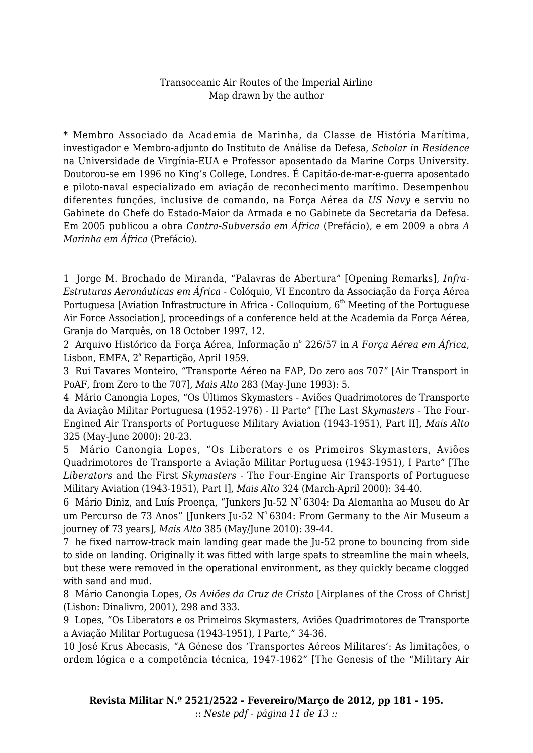## Transoceanic Air Routes of the Imperial Airline Map drawn by the author

\* Membro Associado da Academia de Marinha, da Classe de História Marítima, investigador e Membro-adjunto do Instituto de Análise da Defesa, *Scholar in Residence* na Universidade de Virgínia-EUA e Professor aposentado da Marine Corps University. Doutorou-se em 1996 no King's College, Londres. É Capitão-de-mar-e-guerra aposentado e piloto-naval especializado em aviação de reconhecimento marítimo. Desempenhou diferentes funções, inclusive de comando, na Força Aérea da *US Navy* e serviu no Gabinete do Chefe do Estado-Maior da Armada e no Gabinete da Secretaria da Defesa. Em 2005 publicou a obra *Contra-Subversão em África* (Prefácio), e em 2009 a obra *A Marinha em África* (Prefácio).

1 Jorge M. Brochado de Miranda, "Palavras de Abertura" [Opening Remarks], *Infra-Estruturas Aeronáuticas em África* - Colóquio, VI Encontro da Associação da Força Aérea Portuguesa [Aviation Infrastructure in Africa - Colloquium,  $6<sup>th</sup>$  Meeting of the Portuguese Air Force Association], proceedings of a conference held at the Academia da Força Aérea, Granja do Marquês, on 18 October 1997, 12.

2 Arquivo Histórico da Força Aérea, Informação nº 226/57 in *A Força Aérea em África,* Lisbon, EMFA, 2<sup>ª</sup> Repartição, April 1959.

3 Rui Tavares Monteiro, "Transporte Aéreo na FAP, Do zero aos 707" [Air Transport in PoAF, from Zero to the 707], *Mais Alto* 283 (May-June 1993): 5.

4 Mário Canongia Lopes, "Os Últimos Skymasters - Aviões Quadrimotores de Transporte da Aviação Militar Portuguesa (1952-1976) - II Parte" [The Last *Skymasters* - The Four-Engined Air Transports of Portuguese Military Aviation (1943-1951), Part II], *Mais Alto* 325 (May-June 2000): 20-23.

5 Mário Canongia Lopes, "Os Liberators e os Primeiros Skymasters, Aviões Quadrimotores de Transporte a Aviação Militar Portuguesa (1943-1951), I Parte" [The *Liberators* and the First *Skymasters* - The Four-Engine Air Transports of Portuguese Military Aviation (1943-1951), Part I], *Mais Alto* 324 (March-April 2000): 34-40.

6 Mário Diniz, and Luís Proença, "Junkers Ju-52 N° 6304: Da Alemanha ao Museu do Ar um Percurso de 73 Anos" [Junkers Ju-52  $N^{\circ}$  6304: From Germany to the Air Museum a journey of 73 years], *Mais Alto* 385 (May/June 2010): 39-44.

7 he fixed narrow-track main landing gear made the Ju-52 prone to bouncing from side to side on landing. Originally it was fitted with large spats to streamline the main wheels, but these were removed in the operational environment, as they quickly became clogged with sand and mud.

8 Mário Canongia Lopes, *Os Aviões da Cruz de Cristo* [Airplanes of the Cross of Christ] (Lisbon: Dinalivro, 2001), 298 and 333.

9 Lopes, "Os Liberators e os Primeiros Skymasters, Aviões Quadrimotores de Transporte a Aviação Militar Portuguesa (1943-1951), I Parte," 34-36.

10 José Krus Abecasis, "A Génese dos 'Transportes Aéreos Militares': As limitações, o ordem lógica e a competência técnica, 1947-1962" [The Genesis of the "Military Air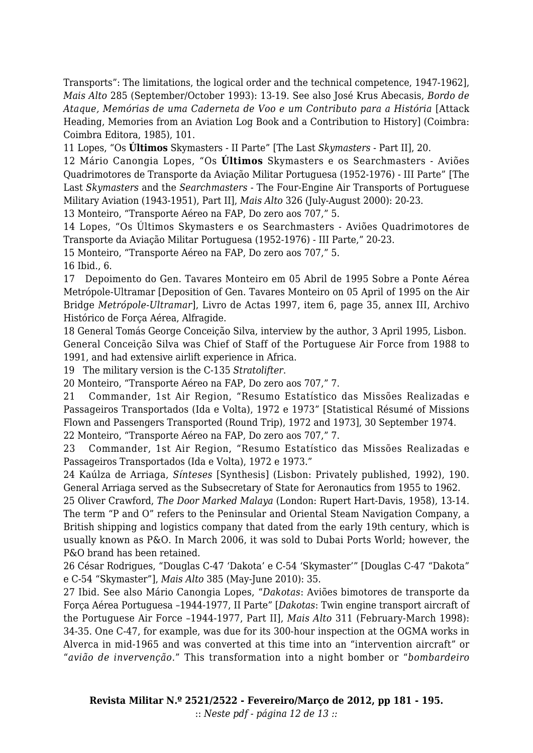Transports": The limitations, the logical order and the technical competence, 1947-1962], *Mais Alto* 285 (September/October 1993): 13-19. See also José Krus Abecasis, *Bordo de Ataque, Memórias de uma Caderneta de Voo e um Contributo para a História* [Attack Heading, Memories from an Aviation Log Book and a Contribution to History] (Coimbra: Coimbra Editora, 1985), 101.

11 Lopes, "Os **Últimos** Skymasters - II Parte" [The Last *Skymasters* - Part II], 20.

12 Mário Canongia Lopes, "Os **Últimos** Skymasters e os Searchmasters - Aviões Quadrimotores de Transporte da Aviação Militar Portuguesa (1952-1976) - III Parte" [The Last *Skymasters* and the *Searchmasters* - The Four-Engine Air Transports of Portuguese Military Aviation (1943-1951), Part II], *Mais Alto* 326 (July-August 2000): 20-23.

13 Monteiro, "Transporte Aéreo na FAP, Do zero aos 707," 5.

14 Lopes, "Os Últimos Skymasters e os Searchmasters - Aviões Quadrimotores de Transporte da Aviação Militar Portuguesa (1952-1976) - III Parte," 20-23.

15 Monteiro, "Transporte Aéreo na FAP, Do zero aos 707," 5.

16 Ibid., 6.

17 Depoimento do Gen. Tavares Monteiro em 05 Abril de 1995 Sobre a Ponte Aérea Metrópole-Ultramar [Deposition of Gen. Tavares Monteiro on 05 April of 1995 on the Air Bridge *Metrópole-Ultramar*], Livro de Actas 1997, item 6, page 35, annex III, Archivo Histórico de Força Aérea, Alfragide.

18 General Tomás George Conceição Silva, interview by the author, 3 April 1995, Lisbon. General Conceição Silva was Chief of Staff of the Portuguese Air Force from 1988 to 1991, and had extensive airlift experience in Africa.

19 The military version is the C-135 *Stratolifter*.

20 Monteiro, "Transporte Aéreo na FAP, Do zero aos 707," 7.

21 Commander, 1st Air Region, "Resumo Estatístico das Missões Realizadas e Passageiros Transportados (Ida e Volta), 1972 e 1973" [Statistical Résumé of Missions Flown and Passengers Transported (Round Trip), 1972 and 1973], 30 September 1974. 22 Monteiro, "Transporte Aéreo na FAP, Do zero aos 707," 7.

23 Commander, 1st Air Region, "Resumo Estatístico das Missões Realizadas e Passageiros Transportados (Ida e Volta), 1972 e 1973."

24 Kaúlza de Arriaga, *Sínteses* [Synthesis] (Lisbon: Privately published, 1992), 190. General Arriaga served as the Subsecretary of State for Aeronautics from 1955 to 1962.

25 Oliver Crawford, *The Door Marked Malaya* (London: Rupert Hart-Davis, 1958), 13-14. The term "P and O" refers to the Peninsular and Oriental Steam Navigation Company, a British shipping and logistics company that dated from the early 19th century, which is usually known as P&O. In March 2006, it was sold to Dubai Ports World; however, the P&O brand has been retained.

26 César Rodrigues, "Douglas C-47 'Dakota' e C-54 'Skymaster'" [Douglas C-47 "Dakota" e C-54 "Skymaster"], *Mais Alto* 385 (May-June 2010): 35.

27 Ibid. See also Mário Canongia Lopes, "*Dakotas*: Aviões bimotores de transporte da Força Aérea Portuguesa –1944-1977, II Parte" [*Dakotas*: Twin engine transport aircraft of the Portuguese Air Force –1944-1977, Part II], *Mais Alto* 311 (February-March 1998): 34-35. One C-47, for example, was due for its 300-hour inspection at the OGMA works in Alverca in mid-1965 and was converted at this time into an "intervention aircraft" or "*avião de invervenção*." This transformation into a night bomber or "*bombardeiro*